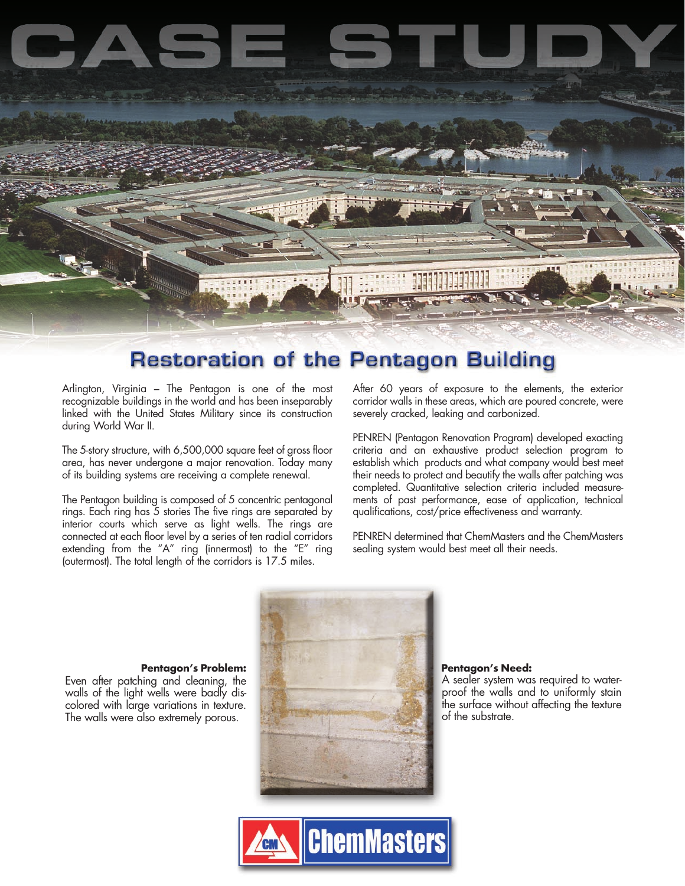

## **Restoration of the Pentagon Building**

Arlington, Virginia – The Pentagon is one of the most recognizable buildings in the world and has been inseparably linked with the United States Military since its construction during World War II.

The 5-story structure, with 6,500,000 square feet of gross floor area, has never undergone a major renovation. Today many of its building systems are receiving a complete renewal.

The Pentagon building is composed of 5 concentric pentagonal rings. Each ring has 5 stories The five rings are separated by interior courts which serve as light wells. The rings are connected at each floor level by a series of ten radial corridors extending from the "A" ring (innermost) to the "E" ring (outermost). The total length of the corridors is 17.5 miles.

After 60 years of exposure to the elements, the exterior corridor walls in these areas, which are poured concrete, were severely cracked, leaking and carbonized.

PENREN (Pentagon Renovation Program) developed exacting criteria and an exhaustive product selection program to establish which products and what company would best meet their needs to protect and beautify the walls after patching was completed. Quantitative selection criteria included measurements of past performance, ease of application, technical qualifications, cost/price effectiveness and warranty.

PENREN determined that ChemMasters and the ChemMasters sealing system would best meet all their needs.



A sealer system was required to waterproof the walls and to uniformly stain the surface without affecting the texture of the substrate.

Even after patching and cleaning, the walls of the light wells were badly discolored with large variations in texture. The walls were also extremely porous.